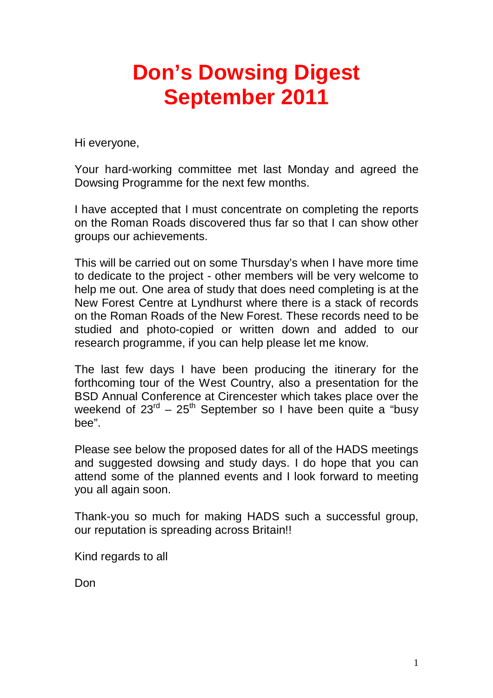## **Don's Dowsing Digest September 2011**

Hi everyone,

Your hard-working committee met last Monday and agreed the Dowsing Programme for the next few months.

I have accepted that I must concentrate on completing the reports on the Roman Roads discovered thus far so that I can show other groups our achievements.

This will be carried out on some Thursday's when I have more time to dedicate to the project - other members will be very welcome to help me out. One area of study that does need completing is at the New Forest Centre at Lyndhurst where there is a stack of records on the Roman Roads of the New Forest. These records need to be studied and photo-copied or written down and added to our research programme, if you can help please let me know.

The last few days I have been producing the itinerary for the forthcoming tour of the West Country, also a presentation for the BSD Annual Conference at Cirencester which takes place over the weekend of  $23^{rd}$  –  $25^{th}$  September so I have been quite a "busy" bee".

Please see below the proposed dates for all of the HADS meetings and suggested dowsing and study days. I do hope that you can attend some of the planned events and I look forward to meeting you all again soon.

Thank-you so much for making HADS such a successful group, our reputation is spreading across Britain!!

Kind regards to all

Don